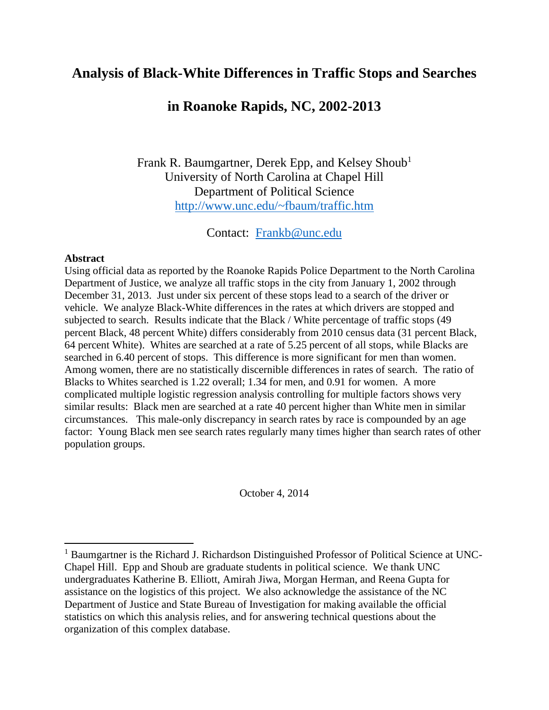# **Analysis of Black-White Differences in Traffic Stops and Searches**

# **in Roanoke Rapids, NC, 2002-2013**

Frank R. Baumgartner, Derek Epp, and Kelsey Shoub<sup>1</sup> University of North Carolina at Chapel Hill Department of Political Science <http://www.unc.edu/~fbaum/traffic.htm>

Contact: [Frankb@unc.edu](mailto:Frankb@unc.edu)

### **Abstract**

 $\overline{a}$ 

Using official data as reported by the Roanoke Rapids Police Department to the North Carolina Department of Justice, we analyze all traffic stops in the city from January 1, 2002 through December 31, 2013. Just under six percent of these stops lead to a search of the driver or vehicle. We analyze Black-White differences in the rates at which drivers are stopped and subjected to search. Results indicate that the Black / White percentage of traffic stops (49 percent Black, 48 percent White) differs considerably from 2010 census data (31 percent Black, 64 percent White). Whites are searched at a rate of 5.25 percent of all stops, while Blacks are searched in 6.40 percent of stops. This difference is more significant for men than women. Among women, there are no statistically discernible differences in rates of search. The ratio of Blacks to Whites searched is 1.22 overall; 1.34 for men, and 0.91 for women. A more complicated multiple logistic regression analysis controlling for multiple factors shows very similar results: Black men are searched at a rate 40 percent higher than White men in similar circumstances. This male-only discrepancy in search rates by race is compounded by an age factor: Young Black men see search rates regularly many times higher than search rates of other population groups.

October 4, 2014

<sup>&</sup>lt;sup>1</sup> Baumgartner is the Richard J. Richardson Distinguished Professor of Political Science at UNC-Chapel Hill. Epp and Shoub are graduate students in political science. We thank UNC undergraduates Katherine B. Elliott, Amirah Jiwa, Morgan Herman, and Reena Gupta for assistance on the logistics of this project. We also acknowledge the assistance of the NC Department of Justice and State Bureau of Investigation for making available the official statistics on which this analysis relies, and for answering technical questions about the organization of this complex database.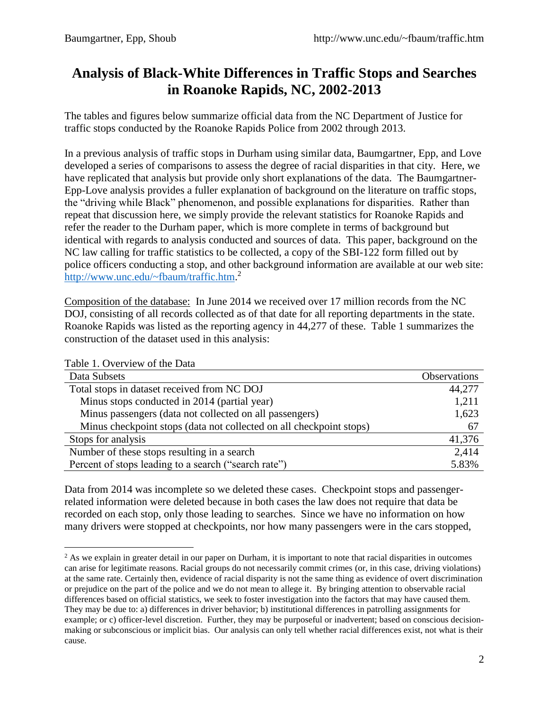# **Analysis of Black-White Differences in Traffic Stops and Searches in Roanoke Rapids, NC, 2002-2013**

The tables and figures below summarize official data from the NC Department of Justice for traffic stops conducted by the Roanoke Rapids Police from 2002 through 2013.

In a previous analysis of traffic stops in Durham using similar data, Baumgartner, Epp, and Love developed a series of comparisons to assess the degree of racial disparities in that city. Here, we have replicated that analysis but provide only short explanations of the data. The Baumgartner-Epp-Love analysis provides a fuller explanation of background on the literature on traffic stops, the "driving while Black" phenomenon, and possible explanations for disparities. Rather than repeat that discussion here, we simply provide the relevant statistics for Roanoke Rapids and refer the reader to the Durham paper, which is more complete in terms of background but identical with regards to analysis conducted and sources of data. This paper, background on the NC law calling for traffic statistics to be collected, a copy of the SBI-122 form filled out by police officers conducting a stop, and other background information are available at our web site: [http://www.unc.edu/~fbaum/traffic.htm.](http://www.unc.edu/~fbaum/traffic.htm)<sup>2</sup>

Composition of the database: In June 2014 we received over 17 million records from the NC DOJ, consisting of all records collected as of that date for all reporting departments in the state. Roanoke Rapids was listed as the reporting agency in 44,277 of these. Table 1 summarizes the construction of the dataset used in this analysis:

Table 1. Overview of the Data

 $\overline{a}$ 

| Data Subsets                                                        | <b>Observations</b> |
|---------------------------------------------------------------------|---------------------|
| Total stops in dataset received from NC DOJ                         | 44,277              |
| Minus stops conducted in 2014 (partial year)                        | 1,211               |
| Minus passengers (data not collected on all passengers)             | 1,623               |
| Minus checkpoint stops (data not collected on all checkpoint stops) | 67                  |
| Stops for analysis                                                  | 41,376              |
| Number of these stops resulting in a search                         | 2,414               |
| Percent of stops leading to a search ("search rate")                | 5.83%               |

Data from 2014 was incomplete so we deleted these cases. Checkpoint stops and passengerrelated information were deleted because in both cases the law does not require that data be recorded on each stop, only those leading to searches. Since we have no information on how many drivers were stopped at checkpoints, nor how many passengers were in the cars stopped,

<sup>&</sup>lt;sup>2</sup> As we explain in greater detail in our paper on Durham, it is important to note that racial disparities in outcomes can arise for legitimate reasons. Racial groups do not necessarily commit crimes (or, in this case, driving violations) at the same rate. Certainly then, evidence of racial disparity is not the same thing as evidence of overt discrimination or prejudice on the part of the police and we do not mean to allege it. By bringing attention to observable racial differences based on official statistics, we seek to foster investigation into the factors that may have caused them. They may be due to: a) differences in driver behavior; b) institutional differences in patrolling assignments for example; or c) officer-level discretion. Further, they may be purposeful or inadvertent; based on conscious decisionmaking or subconscious or implicit bias. Our analysis can only tell whether racial differences exist, not what is their cause.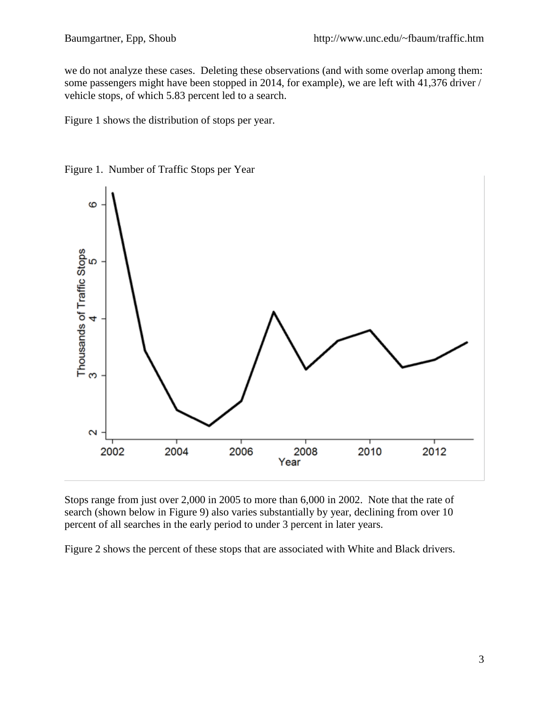we do not analyze these cases. Deleting these observations (and with some overlap among them: some passengers might have been stopped in 2014, for example), we are left with 41,376 driver / vehicle stops, of which 5.83 percent led to a search.

Figure 1 shows the distribution of stops per year.



Figure 1. Number of Traffic Stops per Year

Stops range from just over 2,000 in 2005 to more than 6,000 in 2002. Note that the rate of search (shown below in Figure 9) also varies substantially by year, declining from over 10 percent of all searches in the early period to under 3 percent in later years.

Figure 2 shows the percent of these stops that are associated with White and Black drivers.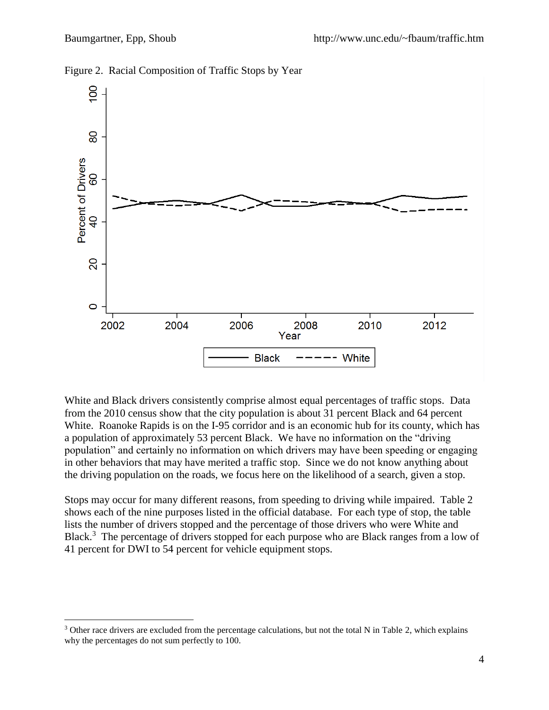$\overline{a}$ 



Figure 2. Racial Composition of Traffic Stops by Year

White and Black drivers consistently comprise almost equal percentages of traffic stops. Data from the 2010 census show that the city population is about 31 percent Black and 64 percent White. Roanoke Rapids is on the I-95 corridor and is an economic hub for its county, which has a population of approximately 53 percent Black. We have no information on the "driving population" and certainly no information on which drivers may have been speeding or engaging in other behaviors that may have merited a traffic stop. Since we do not know anything about the driving population on the roads, we focus here on the likelihood of a search, given a stop.

Stops may occur for many different reasons, from speeding to driving while impaired. Table 2 shows each of the nine purposes listed in the official database. For each type of stop, the table lists the number of drivers stopped and the percentage of those drivers who were White and Black.<sup>3</sup> The percentage of drivers stopped for each purpose who are Black ranges from a low of 41 percent for DWI to 54 percent for vehicle equipment stops.

<sup>&</sup>lt;sup>3</sup> Other race drivers are excluded from the percentage calculations, but not the total N in Table 2, which explains why the percentages do not sum perfectly to 100.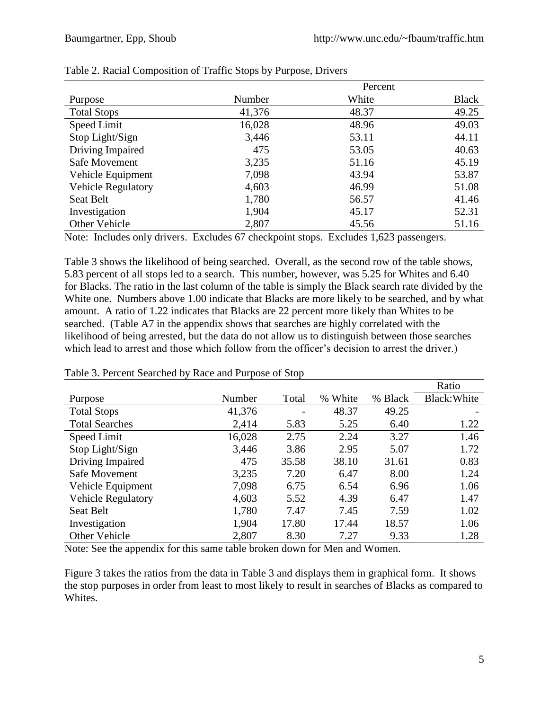|                           |        | Percent |              |
|---------------------------|--------|---------|--------------|
| Purpose                   | Number | White   | <b>Black</b> |
| <b>Total Stops</b>        | 41,376 | 48.37   | 49.25        |
| Speed Limit               | 16,028 | 48.96   | 49.03        |
| Stop Light/Sign           | 3,446  | 53.11   | 44.11        |
| Driving Impaired          | 475    | 53.05   | 40.63        |
| Safe Movement             | 3,235  | 51.16   | 45.19        |
| Vehicle Equipment         | 7,098  | 43.94   | 53.87        |
| <b>Vehicle Regulatory</b> | 4,603  | 46.99   | 51.08        |
| Seat Belt                 | 1,780  | 56.57   | 41.46        |
| Investigation             | 1,904  | 45.17   | 52.31        |
| Other Vehicle             | 2,807  | 45.56   | 51.16        |

|  | Table 2. Racial Composition of Traffic Stops by Purpose, Drivers |  |  |  |  |
|--|------------------------------------------------------------------|--|--|--|--|
|--|------------------------------------------------------------------|--|--|--|--|

Note: Includes only drivers. Excludes 67 checkpoint stops. Excludes 1,623 passengers.

Table 3 shows the likelihood of being searched. Overall, as the second row of the table shows, 5.83 percent of all stops led to a search. This number, however, was 5.25 for Whites and 6.40 for Blacks. The ratio in the last column of the table is simply the Black search rate divided by the White one. Numbers above 1.00 indicate that Blacks are more likely to be searched, and by what amount. A ratio of 1.22 indicates that Blacks are 22 percent more likely than Whites to be searched. (Table A7 in the appendix shows that searches are highly correlated with the likelihood of being arrested, but the data do not allow us to distinguish between those searches which lead to arrest and those which follow from the officer's decision to arrest the driver.)

|                           |        |       |         |         | Ratio        |
|---------------------------|--------|-------|---------|---------|--------------|
| Purpose                   | Number | Total | % White | % Black | Black: White |
| <b>Total Stops</b>        | 41,376 |       | 48.37   | 49.25   |              |
| <b>Total Searches</b>     | 2,414  | 5.83  | 5.25    | 6.40    | 1.22         |
| Speed Limit               | 16,028 | 2.75  | 2.24    | 3.27    | 1.46         |
| Stop Light/Sign           | 3,446  | 3.86  | 2.95    | 5.07    | 1.72         |
| Driving Impaired          | 475    | 35.58 | 38.10   | 31.61   | 0.83         |
| Safe Movement             | 3,235  | 7.20  | 6.47    | 8.00    | 1.24         |
| Vehicle Equipment         | 7,098  | 6.75  | 6.54    | 6.96    | 1.06         |
| <b>Vehicle Regulatory</b> | 4,603  | 5.52  | 4.39    | 6.47    | 1.47         |
| <b>Seat Belt</b>          | 1,780  | 7.47  | 7.45    | 7.59    | 1.02         |
| Investigation             | 1,904  | 17.80 | 17.44   | 18.57   | 1.06         |
| Other Vehicle             | 2,807  | 8.30  | 7.27    | 9.33    | 1.28         |

### Table 3. Percent Searched by Race and Purpose of Stop

Note: See the appendix for this same table broken down for Men and Women.

Figure 3 takes the ratios from the data in Table 3 and displays them in graphical form. It shows the stop purposes in order from least to most likely to result in searches of Blacks as compared to Whites.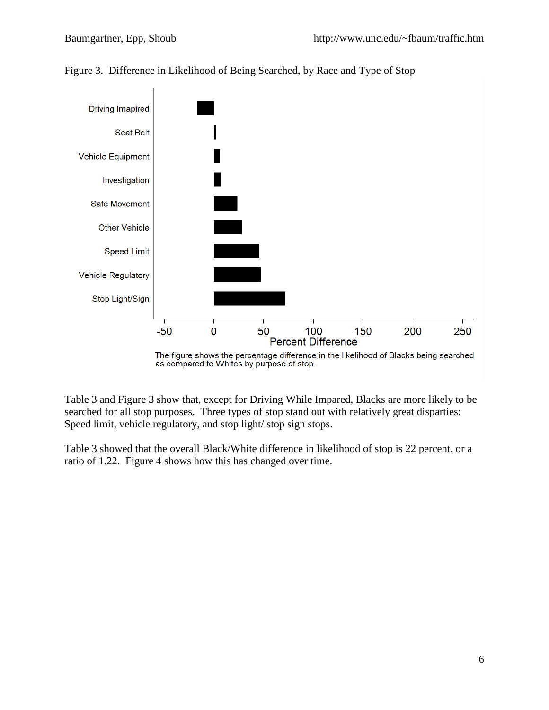

Figure 3. Difference in Likelihood of Being Searched, by Race and Type of Stop

Table 3 and Figure 3 show that, except for Driving While Impared, Blacks are more likely to be searched for all stop purposes. Three types of stop stand out with relatively great disparties: Speed limit, vehicle regulatory, and stop light/ stop sign stops.

Table 3 showed that the overall Black/White difference in likelihood of stop is 22 percent, or a ratio of 1.22. Figure 4 shows how this has changed over time.

The figure shows the percentage difference in the likelihood of Blacks being searched as compared to Whites by purpose of stop.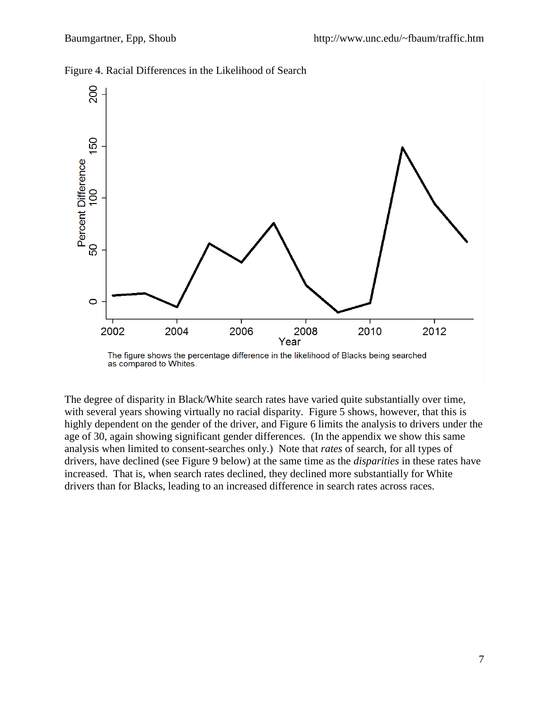

Figure 4. Racial Differences in the Likelihood of Search



The degree of disparity in Black/White search rates have varied quite substantially over time, with several years showing virtually no racial disparity. Figure 5 shows, however, that this is highly dependent on the gender of the driver, and Figure 6 limits the analysis to drivers under the age of 30, again showing significant gender differences. (In the appendix we show this same analysis when limited to consent-searches only.) Note that *rates* of search, for all types of drivers, have declined (see Figure 9 below) at the same time as the *disparities* in these rates have increased. That is, when search rates declined, they declined more substantially for White drivers than for Blacks, leading to an increased difference in search rates across races.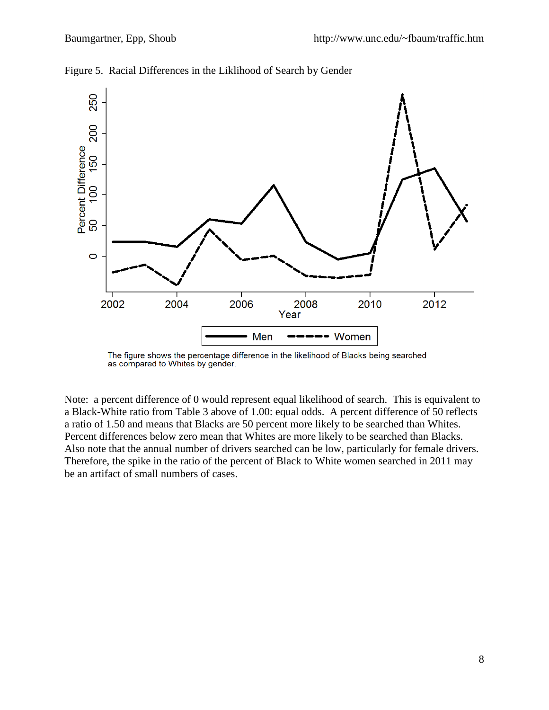

Figure 5. Racial Differences in the Liklihood of Search by Gender



Note: a percent difference of 0 would represent equal likelihood of search. This is equivalent to a Black-White ratio from Table 3 above of 1.00: equal odds. A percent difference of 50 reflects a ratio of 1.50 and means that Blacks are 50 percent more likely to be searched than Whites. Percent differences below zero mean that Whites are more likely to be searched than Blacks. Also note that the annual number of drivers searched can be low, particularly for female drivers. Therefore, the spike in the ratio of the percent of Black to White women searched in 2011 may be an artifact of small numbers of cases.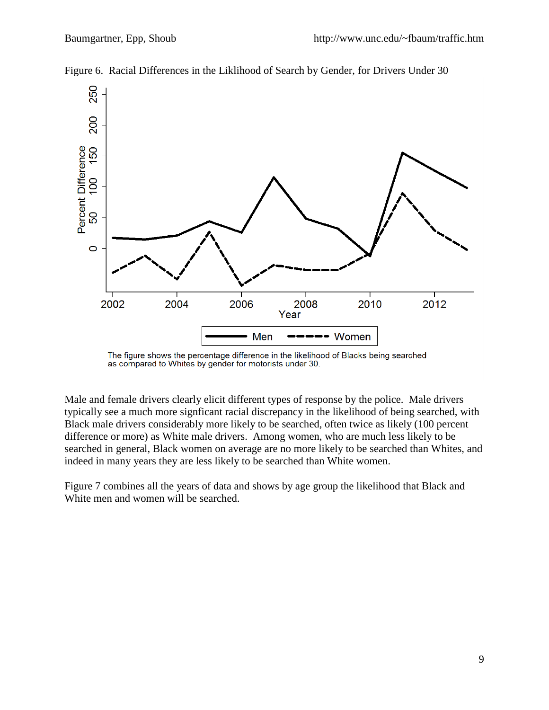

Figure 6. Racial Differences in the Liklihood of Search by Gender, for Drivers Under 30

Male and female drivers clearly elicit different types of response by the police. Male drivers typically see a much more signficant racial discrepancy in the likelihood of being searched, with Black male drivers considerably more likely to be searched, often twice as likely (100 percent difference or more) as White male drivers. Among women, who are much less likely to be searched in general, Black women on average are no more likely to be searched than Whites, and indeed in many years they are less likely to be searched than White women.

Figure 7 combines all the years of data and shows by age group the likelihood that Black and White men and women will be searched.

The figure shows the percentage difference in the likelihood of Blacks being searched<br>as compared to Whites by gender for motorists under 30.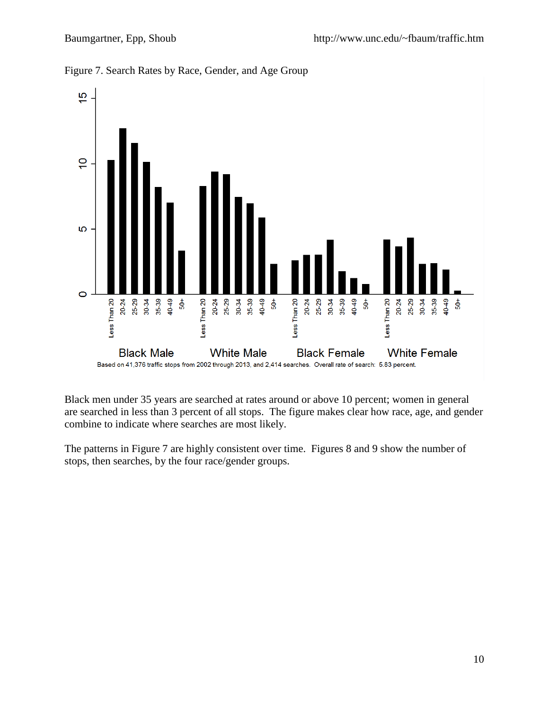

Figure 7. Search Rates by Race, Gender, and Age Group

Black men under 35 years are searched at rates around or above 10 percent; women in general are searched in less than 3 percent of all stops. The figure makes clear how race, age, and gender combine to indicate where searches are most likely.

The patterns in Figure 7 are highly consistent over time. Figures 8 and 9 show the number of stops, then searches, by the four race/gender groups.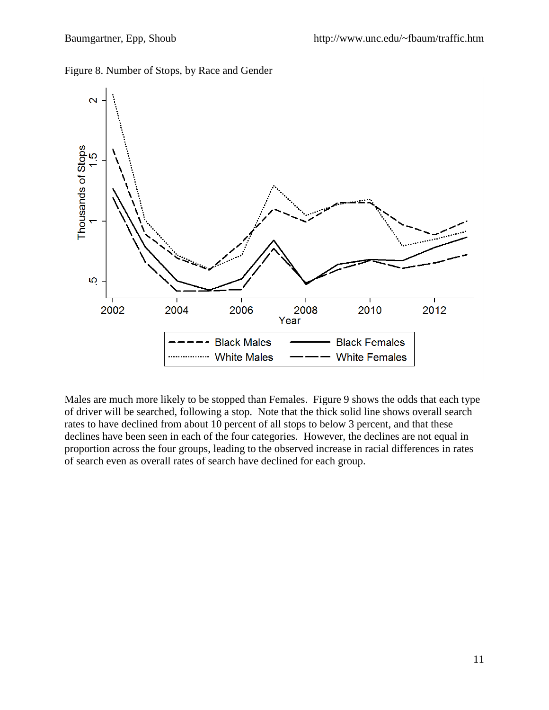Figure 8. Number of Stops, by Race and Gender



Males are much more likely to be stopped than Females. Figure 9 shows the odds that each type of driver will be searched, following a stop. Note that the thick solid line shows overall search rates to have declined from about 10 percent of all stops to below 3 percent, and that these declines have been seen in each of the four categories. However, the declines are not equal in proportion across the four groups, leading to the observed increase in racial differences in rates of search even as overall rates of search have declined for each group.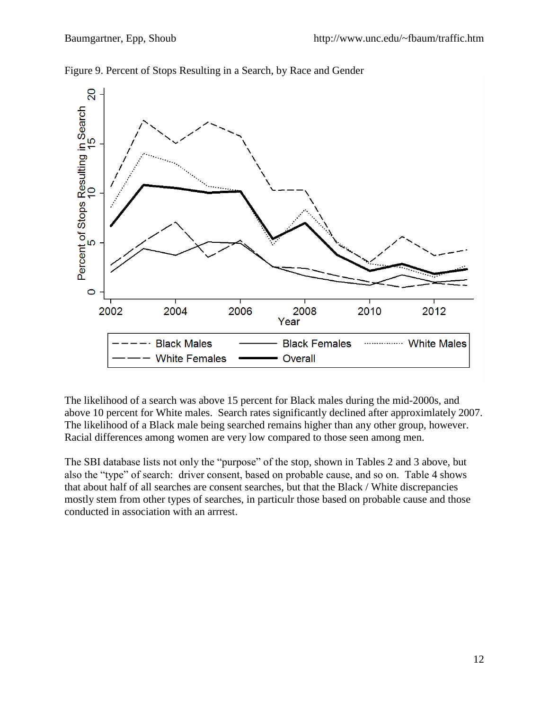

Figure 9. Percent of Stops Resulting in a Search, by Race and Gender

The likelihood of a search was above 15 percent for Black males during the mid-2000s, and above 10 percent for White males. Search rates significantly declined after approximlately 2007. The likelihood of a Black male being searched remains higher than any other group, however. Racial differences among women are very low compared to those seen among men.

The SBI database lists not only the "purpose" of the stop, shown in Tables 2 and 3 above, but also the "type" of search: driver consent, based on probable cause, and so on. Table 4 shows that about half of all searches are consent searches, but that the Black / White discrepancies mostly stem from other types of searches, in particulr those based on probable cause and those conducted in association with an arrrest.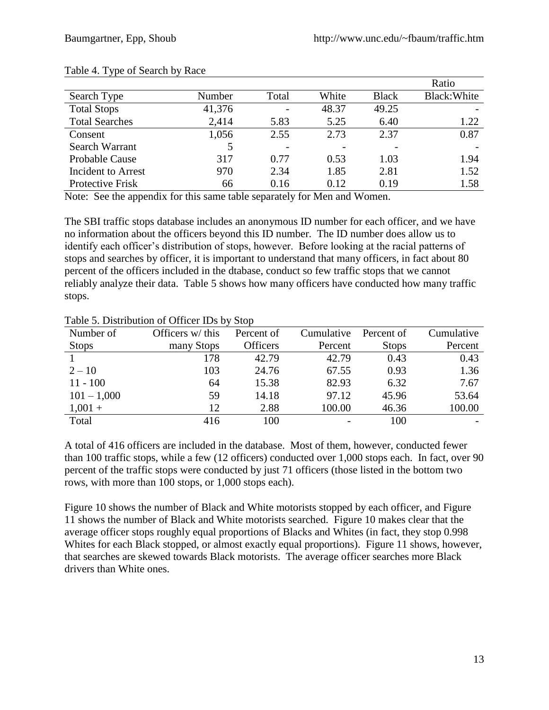|                       |        |       |       |              | Ratio        |
|-----------------------|--------|-------|-------|--------------|--------------|
| Search Type           | Number | Total | White | <b>Black</b> | Black: White |
| <b>Total Stops</b>    | 41,376 |       | 48.37 | 49.25        |              |
| <b>Total Searches</b> | 2,414  | 5.83  | 5.25  | 6.40         | 1.22         |
| Consent               | 1,056  | 2.55  | 2.73  | 2.37         | 0.87         |
| Search Warrant        | 5      |       |       |              |              |
| <b>Probable Cause</b> | 317    | 0.77  | 0.53  | 1.03         | 1.94         |
| Incident to Arrest    | 970    | 2.34  | 1.85  | 2.81         | 1.52         |
| Protective Frisk      | 66     | 0.16  | 0.12  | 0.19         | 1.58         |

#### Table 4. Type of Search by Race

Note: See the appendix for this same table separately for Men and Women.

The SBI traffic stops database includes an anonymous ID number for each officer, and we have no information about the officers beyond this ID number. The ID number does allow us to identify each officer's distribution of stops, however. Before looking at the racial patterns of stops and searches by officer, it is important to understand that many officers, in fact about 80 percent of the officers included in the dtabase, conduct so few traffic stops that we cannot reliably analyze their data. Table 5 shows how many officers have conducted how many traffic stops.

| Number of     | Officers w/ this | Percent of      | Cumulative | Percent of   | Cumulative |
|---------------|------------------|-----------------|------------|--------------|------------|
| <b>Stops</b>  | many Stops       | <b>Officers</b> | Percent    | <b>Stops</b> | Percent    |
|               | 178              | 42.79           | 42.79      | 0.43         | 0.43       |
| $2 - 10$      | 103              | 24.76           | 67.55      | 0.93         | 1.36       |
| $11 - 100$    | 64               | 15.38           | 82.93      | 6.32         | 7.67       |
| $101 - 1,000$ | 59               | 14.18           | 97.12      | 45.96        | 53.64      |
| $1,001 +$     | 12               | 2.88            | 100.00     | 46.36        | 100.00     |
| Total         | 416              | 100             |            | 100          |            |

Table 5. Distribution of Officer IDs by Stop

A total of 416 officers are included in the database. Most of them, however, conducted fewer than 100 traffic stops, while a few (12 officers) conducted over 1,000 stops each. In fact, over 90 percent of the traffic stops were conducted by just 71 officers (those listed in the bottom two rows, with more than 100 stops, or 1,000 stops each).

Figure 10 shows the number of Black and White motorists stopped by each officer, and Figure 11 shows the number of Black and White motorists searched. Figure 10 makes clear that the average officer stops roughly equal proportions of Blacks and Whites (in fact, they stop 0.998 Whites for each Black stopped, or almost exactly equal proportions). Figure 11 shows, however, that searches are skewed towards Black motorists. The average officer searches more Black drivers than White ones.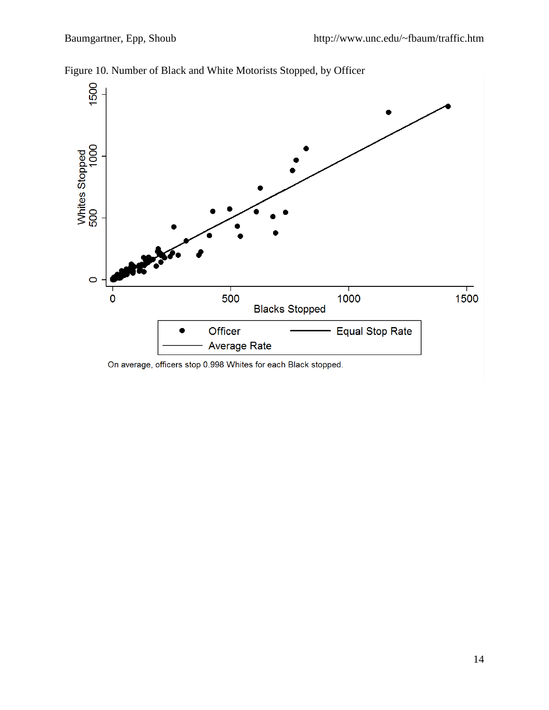

Figure 10. Number of Black and White Motorists Stopped, by Officer

On average, officers stop 0.998 Whites for each Black stopped.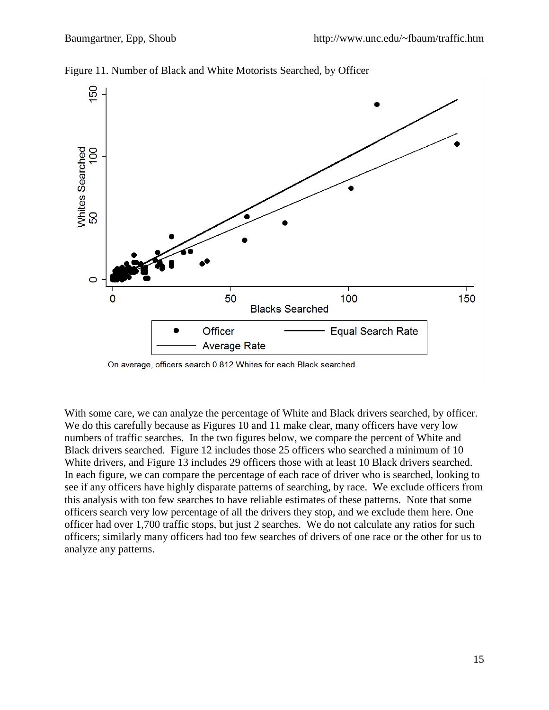

Figure 11. Number of Black and White Motorists Searched, by Officer

On average, officers search 0.812 Whites for each Black searched.

With some care, we can analyze the percentage of White and Black drivers searched, by officer. We do this carefully because as Figures 10 and 11 make clear, many officers have very low numbers of traffic searches. In the two figures below, we compare the percent of White and Black drivers searched. Figure 12 includes those 25 officers who searched a minimum of 10 White drivers, and Figure 13 includes 29 officers those with at least 10 Black drivers searched. In each figure, we can compare the percentage of each race of driver who is searched, looking to see if any officers have highly disparate patterns of searching, by race. We exclude officers from this analysis with too few searches to have reliable estimates of these patterns. Note that some officers search very low percentage of all the drivers they stop, and we exclude them here. One officer had over 1,700 traffic stops, but just 2 searches. We do not calculate any ratios for such officers; similarly many officers had too few searches of drivers of one race or the other for us to analyze any patterns.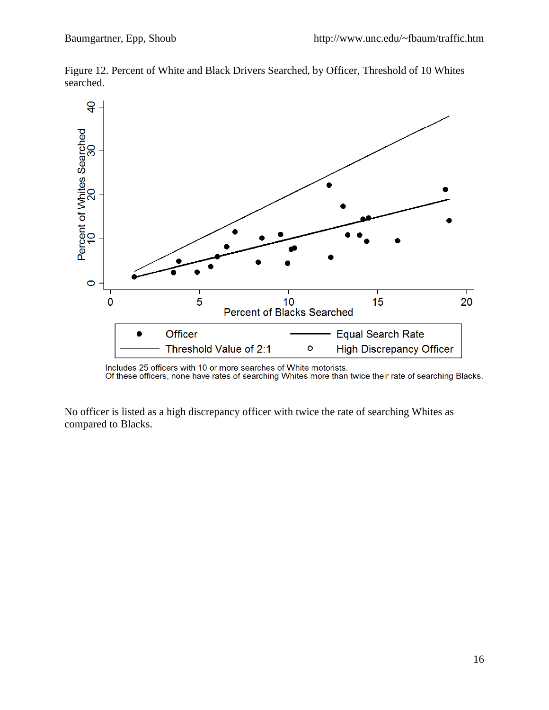

Figure 12. Percent of White and Black Drivers Searched, by Officer, Threshold of 10 Whites searched.

No officer is listed as a high discrepancy officer with twice the rate of searching Whites as compared to Blacks.

Includes 25 officers with 10 or more searches of White motorists.<br>Of these officers, none have rates of searching Whites more than twice their rate of searching Blacks.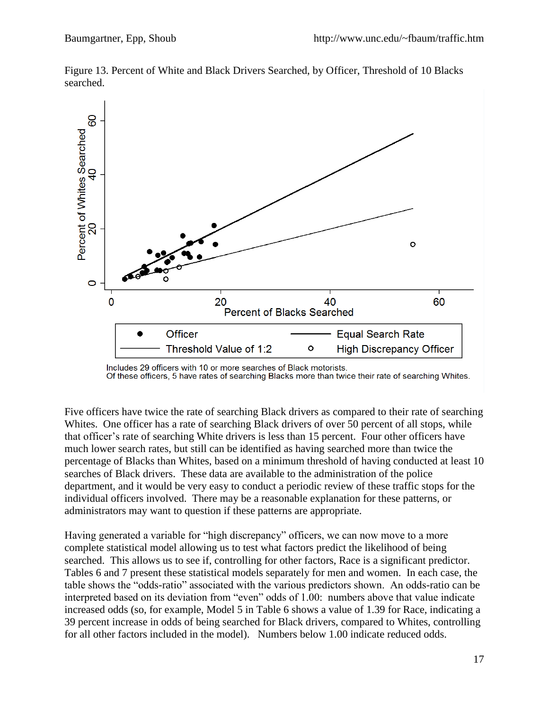

Figure 13. Percent of White and Black Drivers Searched, by Officer, Threshold of 10 Blacks searched.

Five officers have twice the rate of searching Black drivers as compared to their rate of searching Whites. One officer has a rate of searching Black drivers of over 50 percent of all stops, while that officer's rate of searching White drivers is less than 15 percent. Four other officers have much lower search rates, but still can be identified as having searched more than twice the percentage of Blacks than Whites, based on a minimum threshold of having conducted at least 10 searches of Black drivers. These data are available to the administration of the police department, and it would be very easy to conduct a periodic review of these traffic stops for the individual officers involved. There may be a reasonable explanation for these patterns, or administrators may want to question if these patterns are appropriate.

Having generated a variable for "high discrepancy" officers, we can now move to a more complete statistical model allowing us to test what factors predict the likelihood of being searched. This allows us to see if, controlling for other factors, Race is a significant predictor. Tables 6 and 7 present these statistical models separately for men and women. In each case, the table shows the "odds-ratio" associated with the various predictors shown. An odds-ratio can be interpreted based on its deviation from "even" odds of 1.00: numbers above that value indicate increased odds (so, for example, Model 5 in Table 6 shows a value of 1.39 for Race, indicating a 39 percent increase in odds of being searched for Black drivers, compared to Whites, controlling for all other factors included in the model). Numbers below 1.00 indicate reduced odds.

Includes 29 officers with 10 or more searches of Black motorists. Of these officers, 5 have rates of searching Blacks more than twice their rate of searching Whites.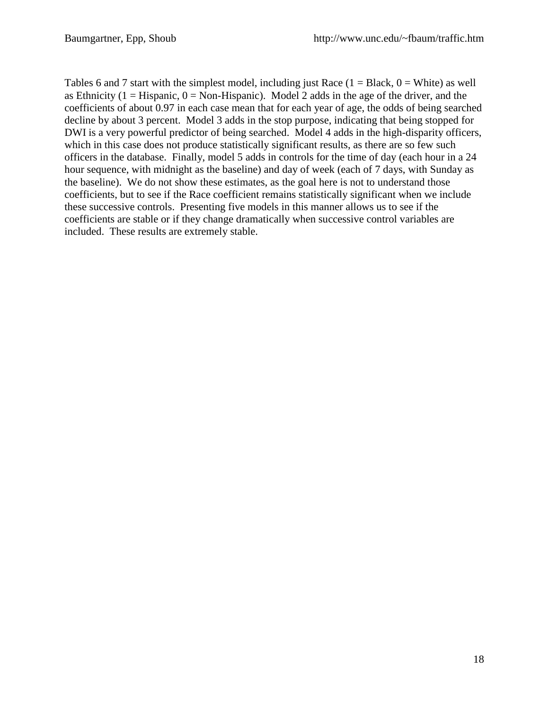Tables 6 and 7 start with the simplest model, including just Race  $(1 = Black, 0 = White)$  as well as Ethnicity ( $1 =$  Hispanic,  $0 =$  Non-Hispanic). Model 2 adds in the age of the driver, and the coefficients of about 0.97 in each case mean that for each year of age, the odds of being searched decline by about 3 percent. Model 3 adds in the stop purpose, indicating that being stopped for DWI is a very powerful predictor of being searched. Model 4 adds in the high-disparity officers, which in this case does not produce statistically significant results, as there are so few such officers in the database. Finally, model 5 adds in controls for the time of day (each hour in a 24 hour sequence, with midnight as the baseline) and day of week (each of 7 days, with Sunday as the baseline). We do not show these estimates, as the goal here is not to understand those coefficients, but to see if the Race coefficient remains statistically significant when we include these successive controls. Presenting five models in this manner allows us to see if the coefficients are stable or if they change dramatically when successive control variables are included. These results are extremely stable.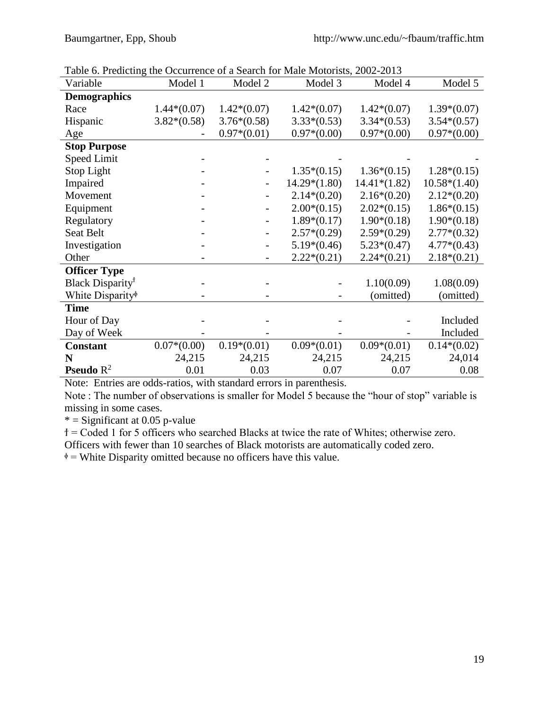| Variable                                     | Model 1       | Model 2                      | Model 3        | Model 4        | Model 5        |
|----------------------------------------------|---------------|------------------------------|----------------|----------------|----------------|
| <b>Demographics</b>                          |               |                              |                |                |                |
| Race                                         | $1.44*(0.07)$ | $1.42*(0.07)$                | $1.42*(0.07)$  | $1.42*(0.07)$  | $1.39*(0.07)$  |
| Hispanic                                     | $3.82*(0.58)$ | $3.76*(0.58)$                | $3.33*(0.53)$  | $3.34*(0.53)$  | $3.54*(0.57)$  |
| Age                                          |               | $0.97*(0.01)$                | $0.97*(0.00)$  | $0.97*(0.00)$  | $0.97*(0.00)$  |
| <b>Stop Purpose</b>                          |               |                              |                |                |                |
| Speed Limit                                  |               |                              |                |                |                |
| Stop Light                                   |               |                              | $1.35*(0.15)$  | $1.36*(0.15)$  | $1.28*(0.15)$  |
| Impaired                                     |               |                              | $14.29*(1.80)$ | $14.41*(1.82)$ | $10.58*(1.40)$ |
| Movement                                     |               |                              | $2.14*(0.20)$  | $2.16*(0.20)$  | $2.12*(0.20)$  |
| Equipment                                    |               |                              | $2.00*(0.15)$  | $2.02*(0.15)$  | $1.86*(0.15)$  |
| Regulatory                                   |               | -                            | $1.89*(0.17)$  | $1.90*(0.18)$  | $1.90*(0.18)$  |
| Seat Belt                                    |               | -                            | $2.57*(0.29)$  | $2.59*(0.29)$  | $2.77*(0.32)$  |
| Investigation                                |               | $\qquad \qquad \blacksquare$ | $5.19*(0.46)$  | $5.23*(0.47)$  | $4.77*(0.43)$  |
| Other                                        |               | $\qquad \qquad -$            | $2.22*(0.21)$  | $2.24*(0.21)$  | $2.18*(0.21)$  |
| <b>Officer Type</b>                          |               |                              |                |                |                |
| Black Disparity <sup>†</sup>                 |               |                              |                | 1.10(0.09)     | 1.08(0.09)     |
| White Disparity <sup><math>\phi</math></sup> |               |                              |                | (omitted)      | (omitted)      |
| <b>Time</b>                                  |               |                              |                |                |                |
| Hour of Day                                  |               |                              |                |                | Included       |
| Day of Week                                  |               |                              |                |                | Included       |
| <b>Constant</b>                              | $0.07*(0.00)$ | $0.19*(0.01)$                | $0.09*(0.01)$  | $0.09*(0.01)$  | $0.14*(0.02)$  |
| N                                            | 24,215        | 24,215                       | 24,215         | 24,215         | 24,014         |
| <b>Pseudo</b> $R^2$                          | 0.01          | 0.03                         | 0.07           | 0.07           | 0.08           |

Table 6. Predicting the Occurrence of a Search for Male Motorists, 2002-2013

Note: Entries are odds-ratios, with standard errors in parenthesis.

Note : The number of observations is smaller for Model 5 because the "hour of stop" variable is missing in some cases.

 $*$  = Significant at 0.05 p-value

ϯ = Coded 1 for 5 officers who searched Blacks at twice the rate of Whites; otherwise zero.

Officers with fewer than 10 searches of Black motorists are automatically coded zero.

 $\phi$  = White Disparity omitted because no officers have this value.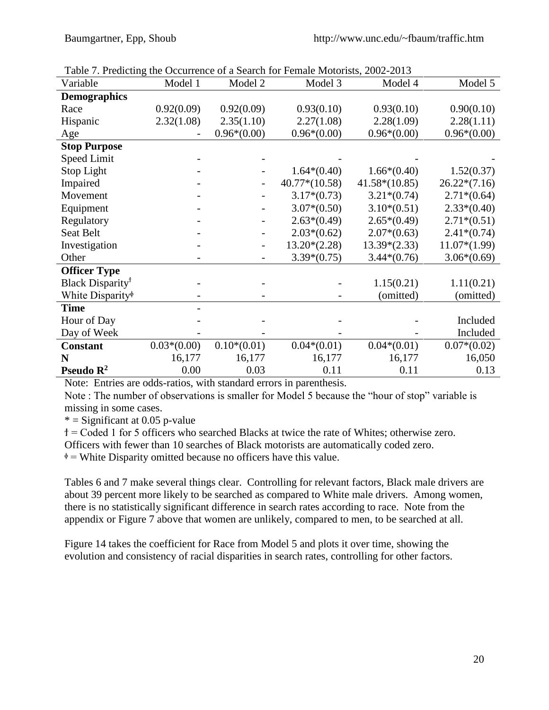| Factor $\mu$ , From this the Occurrence of a bearen for Female motorists, 2002 2019 |               |               |                 |                 |                |
|-------------------------------------------------------------------------------------|---------------|---------------|-----------------|-----------------|----------------|
| Variable                                                                            | Model 1       | Model 2       | Model 3         | Model 4         | Model 5        |
| <b>Demographics</b>                                                                 |               |               |                 |                 |                |
| Race                                                                                | 0.92(0.09)    | 0.92(0.09)    | 0.93(0.10)      | 0.93(0.10)      | 0.90(0.10)     |
| Hispanic                                                                            | 2.32(1.08)    | 2.35(1.10)    | 2.27(1.08)      | 2.28(1.09)      | 2.28(1.11)     |
| Age                                                                                 |               | $0.96*(0.00)$ | $0.96*(0.00)$   | $0.96*(0.00)$   | $0.96*(0.00)$  |
| <b>Stop Purpose</b>                                                                 |               |               |                 |                 |                |
| Speed Limit                                                                         |               |               |                 |                 |                |
| Stop Light                                                                          |               |               | $1.64*(0.40)$   | $1.66*(0.40)$   | 1.52(0.37)     |
| Impaired                                                                            |               |               | $40.77*(10.58)$ | $41.58*(10.85)$ | $26.22*(7.16)$ |
| Movement                                                                            |               |               | $3.17*(0.73)$   | $3.21*(0.74)$   | $2.71*(0.64)$  |
| Equipment                                                                           |               |               | $3.07*(0.50)$   | $3.10*(0.51)$   | $2.33*(0.40)$  |
| Regulatory                                                                          |               |               | $2.63*(0.49)$   | $2.65*(0.49)$   | $2.71*(0.51)$  |
| Seat Belt                                                                           |               |               | $2.03*(0.62)$   | $2.07*(0.63)$   | $2.41*(0.74)$  |
| Investigation                                                                       |               |               | $13.20*(2.28)$  | $13.39*(2.33)$  | $11.07*(1.99)$ |
| Other                                                                               |               |               | $3.39*(0.75)$   | $3.44*(0.76)$   | $3.06*(0.69)$  |
| <b>Officer Type</b>                                                                 |               |               |                 |                 |                |
| Black Disparity <sup>†</sup>                                                        |               |               |                 | 1.15(0.21)      | 1.11(0.21)     |
| White Disparity <sup>®</sup>                                                        |               |               |                 | (omitted)       | (omitted)      |
| <b>Time</b>                                                                         |               |               |                 |                 |                |
| Hour of Day                                                                         |               |               |                 |                 | Included       |
| Day of Week                                                                         |               |               |                 |                 | Included       |
| <b>Constant</b>                                                                     | $0.03*(0.00)$ | $0.10*(0.01)$ | $0.04*(0.01)$   | $0.04*(0.01)$   | $0.07*(0.02)$  |
| N                                                                                   | 16,177        | 16,177        | 16,177          | 16,177          | 16,050         |
| Pseudo $\mathbb{R}^2$                                                               | 0.00          | 0.03          | 0.11            | 0.11            | 0.13           |

Table 7. Predicting the Occurrence of a Search for Female Motorists, 2002-2013

Note: Entries are odds-ratios, with standard errors in parenthesis.

Note : The number of observations is smaller for Model 5 because the "hour of stop" variable is missing in some cases.

 $*$  = Significant at 0.05 p-value

ϯ = Coded 1 for 5 officers who searched Blacks at twice the rate of Whites; otherwise zero.

Officers with fewer than 10 searches of Black motorists are automatically coded zero.

 $\phi$  = White Disparity omitted because no officers have this value.

Tables 6 and 7 make several things clear. Controlling for relevant factors, Black male drivers are about 39 percent more likely to be searched as compared to White male drivers. Among women, there is no statistically significant difference in search rates according to race. Note from the appendix or Figure 7 above that women are unlikely, compared to men, to be searched at all.

Figure 14 takes the coefficient for Race from Model 5 and plots it over time, showing the evolution and consistency of racial disparities in search rates, controlling for other factors.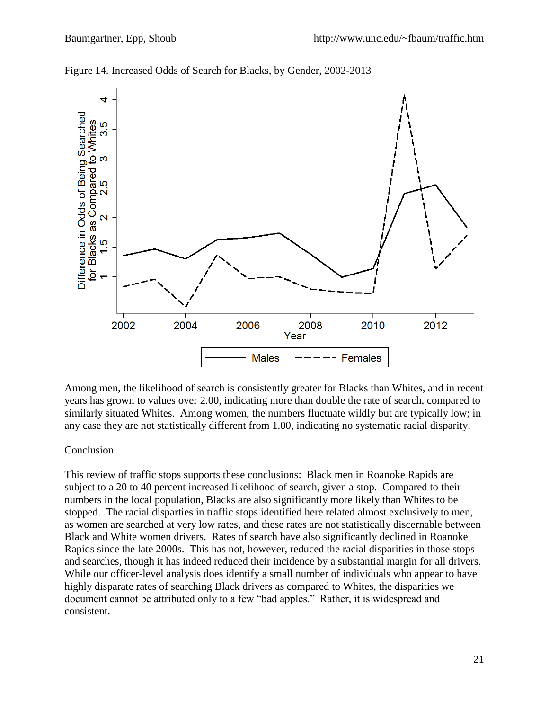

Figure 14. Increased Odds of Search for Blacks, by Gender, 2002-2013

Among men, the likelihood of search is consistently greater for Blacks than Whites, and in recent years has grown to values over 2.00, indicating more than double the rate of search, compared to similarly situated Whites. Among women, the numbers fluctuate wildly but are typically low; in any case they are not statistically different from 1.00, indicating no systematic racial disparity.

## Conclusion

This review of traffic stops supports these conclusions: Black men in Roanoke Rapids are subject to a 20 to 40 percent increased likelihood of search, given a stop. Compared to their numbers in the local population, Blacks are also significantly more likely than Whites to be stopped. The racial disparties in traffic stops identified here related almost exclusively to men, as women are searched at very low rates, and these rates are not statistically discernable between Black and White women drivers. Rates of search have also significantly declined in Roanoke Rapids since the late 2000s. This has not, however, reduced the racial disparities in those stops and searches, though it has indeed reduced their incidence by a substantial margin for all drivers. While our officer-level analysis does identify a small number of individuals who appear to have highly disparate rates of searching Black drivers as compared to Whites, the disparities we document cannot be attributed only to a few "bad apples." Rather, it is widespread and consistent.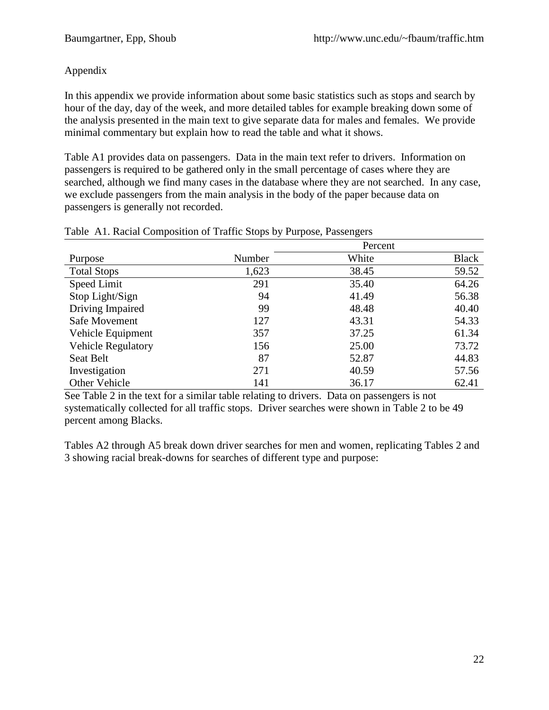### Appendix

In this appendix we provide information about some basic statistics such as stops and search by hour of the day, day of the week, and more detailed tables for example breaking down some of the analysis presented in the main text to give separate data for males and females. We provide minimal commentary but explain how to read the table and what it shows.

Table A1 provides data on passengers. Data in the main text refer to drivers. Information on passengers is required to be gathered only in the small percentage of cases where they are searched, although we find many cases in the database where they are not searched. In any case, we exclude passengers from the main analysis in the body of the paper because data on passengers is generally not recorded.

|                           | Percent |       |              |  |
|---------------------------|---------|-------|--------------|--|
| Purpose                   | Number  | White | <b>Black</b> |  |
| <b>Total Stops</b>        | 1,623   | 38.45 | 59.52        |  |
| Speed Limit               | 291     | 35.40 | 64.26        |  |
| Stop Light/Sign           | 94      | 41.49 | 56.38        |  |
| Driving Impaired          | 99      | 48.48 | 40.40        |  |
| Safe Movement             | 127     | 43.31 | 54.33        |  |
| Vehicle Equipment         | 357     | 37.25 | 61.34        |  |
| <b>Vehicle Regulatory</b> | 156     | 25.00 | 73.72        |  |
| Seat Belt                 | 87      | 52.87 | 44.83        |  |
| Investigation             | 271     | 40.59 | 57.56        |  |
| Other Vehicle             | 141     | 36.17 | 62.41        |  |

### Table A1. Racial Composition of Traffic Stops by Purpose, Passengers

See Table 2 in the text for a similar table relating to drivers. Data on passengers is not systematically collected for all traffic stops. Driver searches were shown in Table 2 to be 49 percent among Blacks.

Tables A2 through A5 break down driver searches for men and women, replicating Tables 2 and 3 showing racial break-downs for searches of different type and purpose: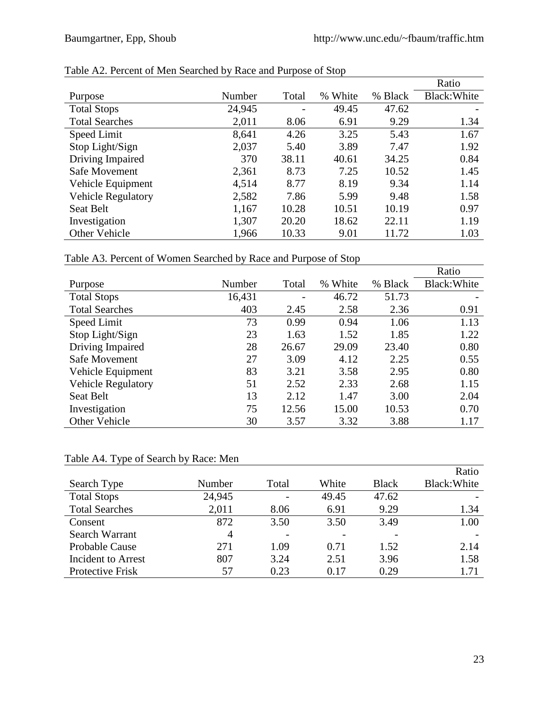|                           |        |       |               |         | Ratio        |
|---------------------------|--------|-------|---------------|---------|--------------|
| Purpose                   | Number | Total | White<br>$\%$ | % Black | Black: White |
| <b>Total Stops</b>        | 24,945 |       | 49.45         | 47.62   |              |
| <b>Total Searches</b>     | 2,011  | 8.06  | 6.91          | 9.29    | 1.34         |
| Speed Limit               | 8,641  | 4.26  | 3.25          | 5.43    | 1.67         |
| Stop Light/Sign           | 2,037  | 5.40  | 3.89          | 7.47    | 1.92         |
| Driving Impaired          | 370    | 38.11 | 40.61         | 34.25   | 0.84         |
| Safe Movement             | 2,361  | 8.73  | 7.25          | 10.52   | 1.45         |
| Vehicle Equipment         | 4,514  | 8.77  | 8.19          | 9.34    | 1.14         |
| <b>Vehicle Regulatory</b> | 2,582  | 7.86  | 5.99          | 9.48    | 1.58         |
| <b>Seat Belt</b>          | 1,167  | 10.28 | 10.51         | 10.19   | 0.97         |
| Investigation             | 1,307  | 20.20 | 18.62         | 22.11   | 1.19         |
| Other Vehicle             | 1,966  | 10.33 | 9.01          | 11.72   | 1.03         |

### Table A2. Percent of Men Searched by Race and Purpose of Stop

Table A3. Percent of Women Searched by Race and Purpose of Stop

|                           |        |       |         |         | Ratio        |
|---------------------------|--------|-------|---------|---------|--------------|
| Purpose                   | Number | Total | % White | % Black | Black: White |
| <b>Total Stops</b>        | 16,431 |       | 46.72   | 51.73   |              |
| <b>Total Searches</b>     | 403    | 2.45  | 2.58    | 2.36    | 0.91         |
| Speed Limit               | 73     | 0.99  | 0.94    | 1.06    | 1.13         |
| Stop Light/Sign           | 23     | 1.63  | 1.52    | 1.85    | 1.22         |
| Driving Impaired          | 28     | 26.67 | 29.09   | 23.40   | 0.80         |
| Safe Movement             | 27     | 3.09  | 4.12    | 2.25    | 0.55         |
| Vehicle Equipment         | 83     | 3.21  | 3.58    | 2.95    | 0.80         |
| <b>Vehicle Regulatory</b> | 51     | 2.52  | 2.33    | 2.68    | 1.15         |
| Seat Belt                 | 13     | 2.12  | 1.47    | 3.00    | 2.04         |
| Investigation             | 75     | 12.56 | 15.00   | 10.53   | 0.70         |
| Other Vehicle             | 30     | 3.57  | 3.32    | 3.88    | 1.17         |

### Table A4. Type of Search by Race: Men

|                       |        |       |       |              | Ratio        |
|-----------------------|--------|-------|-------|--------------|--------------|
| Search Type           | Number | Total | White | <b>Black</b> | Black: White |
| <b>Total Stops</b>    | 24,945 |       | 49.45 | 47.62        |              |
| <b>Total Searches</b> | 2,011  | 8.06  | 6.91  | 9.29         | 1.34         |
| Consent               | 872    | 3.50  | 3.50  | 3.49         | 1.00         |
| Search Warrant        | 4      |       |       |              |              |
| <b>Probable Cause</b> | 271    | 1.09  | 0.71  | 1.52         | 2.14         |
| Incident to Arrest    | 807    | 3.24  | 2.51  | 3.96         | 1.58         |
| Protective Frisk      | 57     | 0.23  | 0.17  | 0.29         | 1.71         |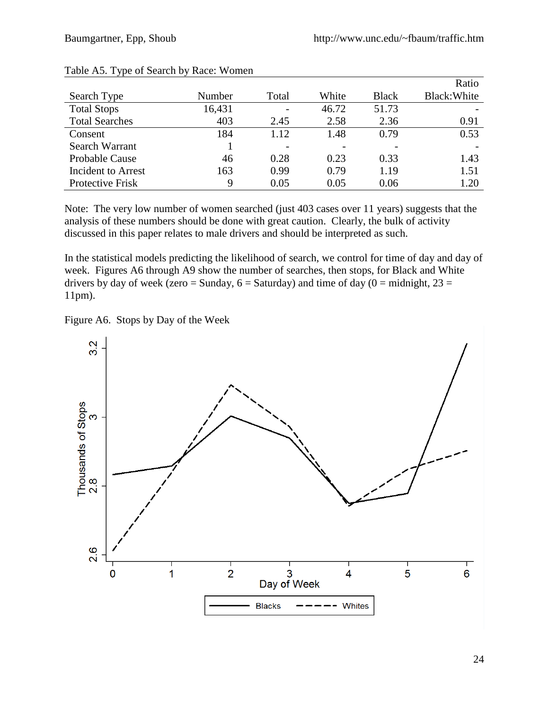|                           |        |       |       |              | Ratio        |
|---------------------------|--------|-------|-------|--------------|--------------|
| Search Type               | Number | Total | White | <b>Black</b> | Black: White |
| <b>Total Stops</b>        | 16,431 |       | 46.72 | 51.73        |              |
| <b>Total Searches</b>     | 403    | 2.45  | 2.58  | 2.36         | 0.91         |
| Consent                   | 184    | 1.12  | 1.48  | 0.79         | 0.53         |
| Search Warrant            |        |       |       |              |              |
| Probable Cause            | 46     | 0.28  | 0.23  | 0.33         | 1.43         |
| <b>Incident to Arrest</b> | 163    | 0.99  | 0.79  | 1.19         | 1.51         |
| Protective Frisk          | 9      | 0.05  | 0.05  | 0.06         | 1.20         |

#### Table A5. Type of Search by Race: Women

Note: The very low number of women searched (just 403 cases over 11 years) suggests that the analysis of these numbers should be done with great caution. Clearly, the bulk of activity discussed in this paper relates to male drivers and should be interpreted as such.

In the statistical models predicting the likelihood of search, we control for time of day and day of week. Figures A6 through A9 show the number of searches, then stops, for Black and White drivers by day of week (zero = Sunday,  $6 =$  Saturday) and time of day ( $0 =$  midnight,  $23 =$ 11pm).

Figure A6. Stops by Day of the Week

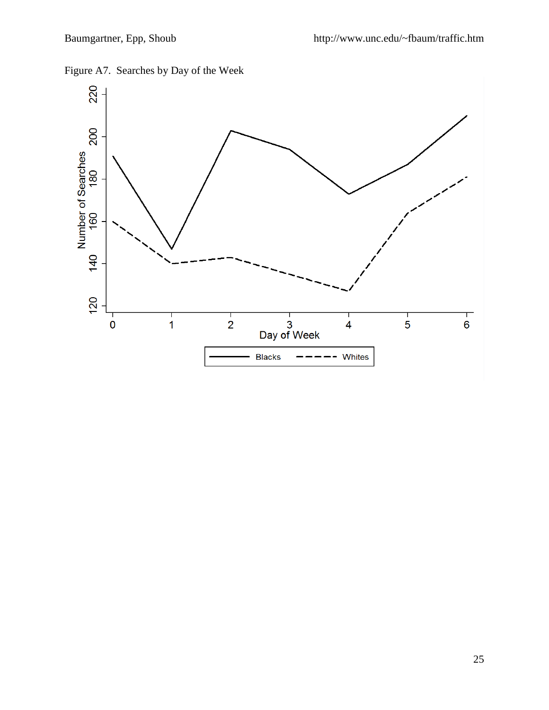

Figure A7. Searches by Day of the Week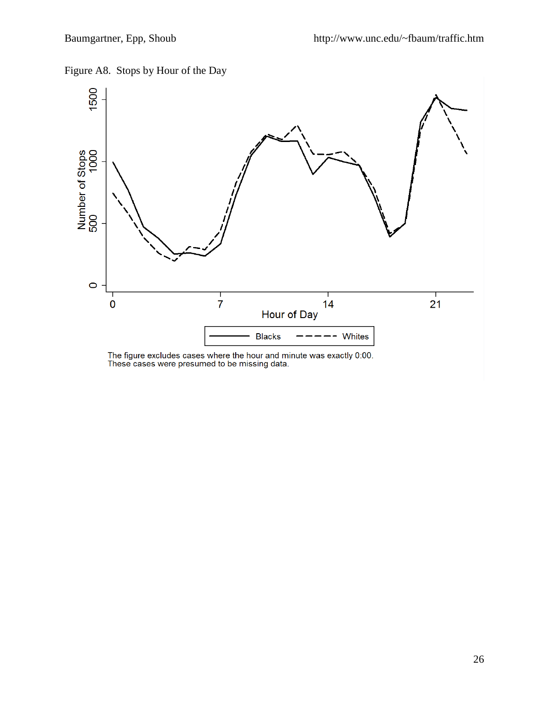



The figure excludes cases where the hour and minute was exactly 0:00.<br>These cases were presumed to be missing data.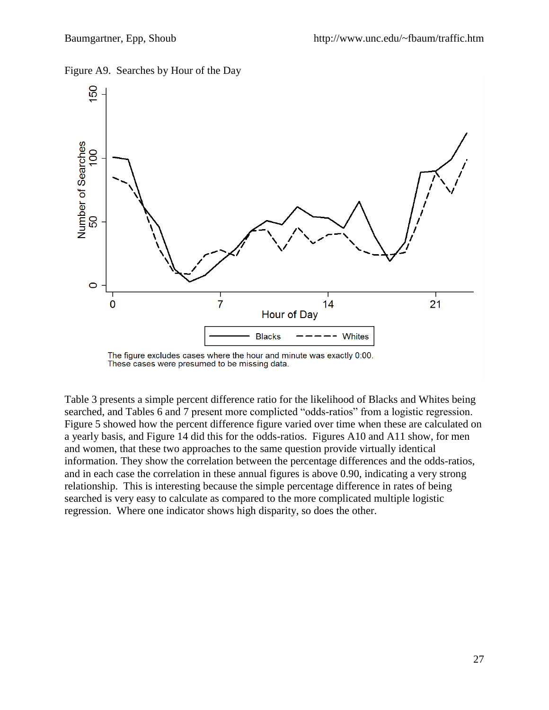Figure A9. Searches by Hour of the Day



The figure excludes cases where the hour and minute was exactly 0:00. These cases were presumed to be missing data.

Table 3 presents a simple percent difference ratio for the likelihood of Blacks and Whites being searched, and Tables 6 and 7 present more complicted "odds-ratios" from a logistic regression. Figure 5 showed how the percent difference figure varied over time when these are calculated on a yearly basis, and Figure 14 did this for the odds-ratios. Figures A10 and A11 show, for men and women, that these two approaches to the same question provide virtually identical information. They show the correlation between the percentage differences and the odds-ratios, and in each case the correlation in these annual figures is above 0.90, indicating a very strong relationship. This is interesting because the simple percentage difference in rates of being searched is very easy to calculate as compared to the more complicated multiple logistic regression. Where one indicator shows high disparity, so does the other.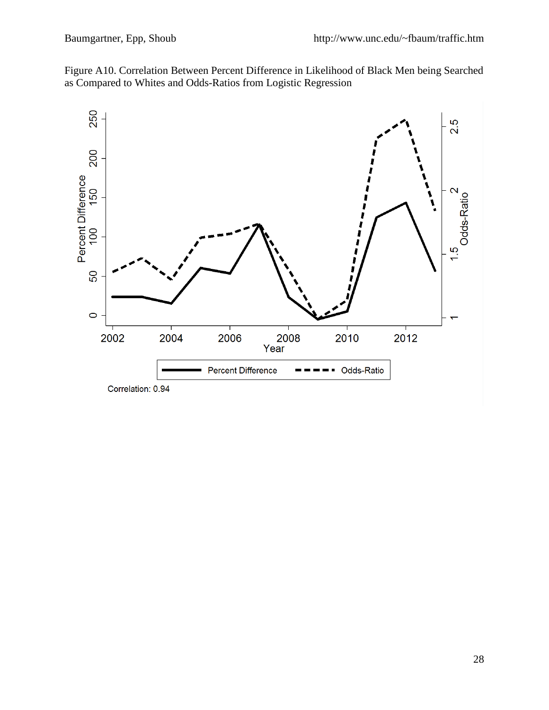



Correlation: 0.94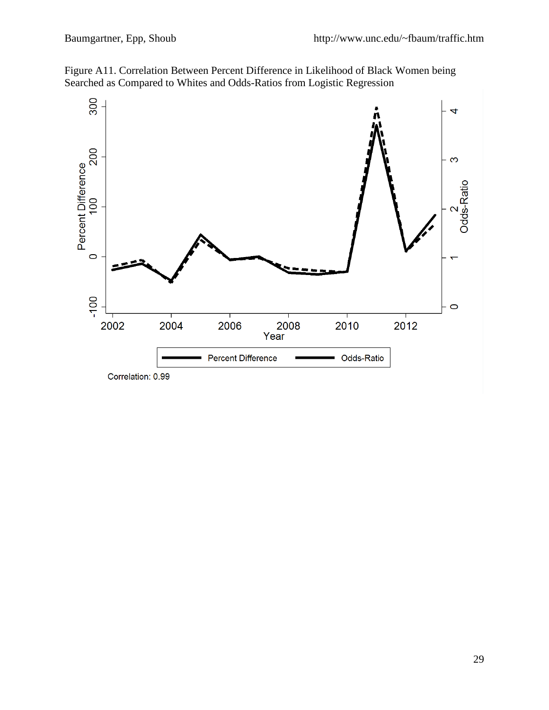

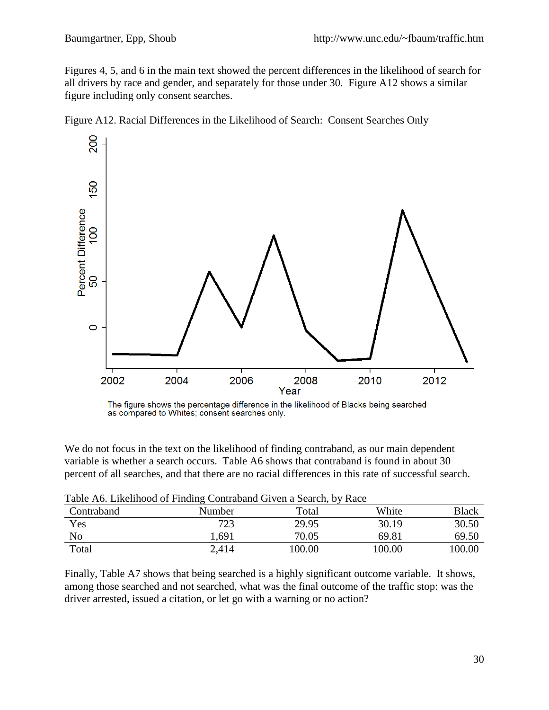Figures 4, 5, and 6 in the main text showed the percent differences in the likelihood of search for all drivers by race and gender, and separately for those under 30. Figure A12 shows a similar figure including only consent searches.





The figure shows the percentage difference in the likelihood of Blacks being searched as compared to Whites; consent searches only.

We do not focus in the text on the likelihood of finding contraband, as our main dependent variable is whether a search occurs. Table A6 shows that contraband is found in about 30 percent of all searches, and that there are no racial differences in this rate of successful search.

| Table AU. LIKEHHOOG OF FINGING COMPANIE CHVCH a SCARCH, DY RACC |        |        |        |              |  |  |  |
|-----------------------------------------------------------------|--------|--------|--------|--------------|--|--|--|
| Contraband                                                      | Number | Total  | White  | <b>Black</b> |  |  |  |
| Yes                                                             | 723    | 29.95  | 30.19  | 30.50        |  |  |  |
| No                                                              | 1.691  | 70.05  | 69.81  | 69.50        |  |  |  |
| Total                                                           | 2,414  | 100.00 | 100.00 | 100.00       |  |  |  |

Table A6. Likelihood of Finding Contraband Given a Search, by Race

Finally, Table A7 shows that being searched is a highly significant outcome variable. It shows, among those searched and not searched, what was the final outcome of the traffic stop: was the driver arrested, issued a citation, or let go with a warning or no action?